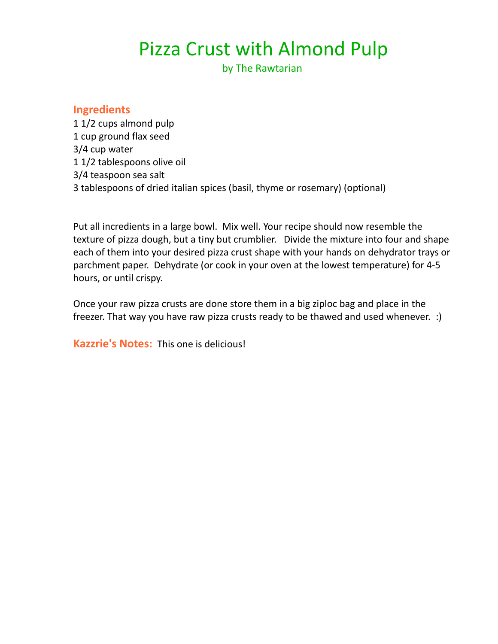# Pizza Crust with Almond Pulp

by The Rawtarian

## **Ingredients**

1 1/2 cups almond pulp 1 cup ground flax seed 3/4 cup water 1 1/2 tablespoons olive oil 3/4 teaspoon sea salt 3 tablespoons of dried italian spices (basil, thyme or rosemary) (optional)

Put all incredients in a large bowl. Mix well. Your recipe should now resemble the texture of pizza dough, but a tiny but crumblier. Divide the mixture into four and shape each of them into your desired pizza crust shape with your hands on dehydrator trays or parchment paper. Dehydrate (or cook in your oven at the lowest temperature) for 4-5 hours, or until crispy.

Once your raw pizza crusts are done store them in a big ziploc bag and place in the freezer. That way you have raw pizza crusts ready to be thawed and used whenever. :)

**Kazzrie's Notes:** This one is delicious!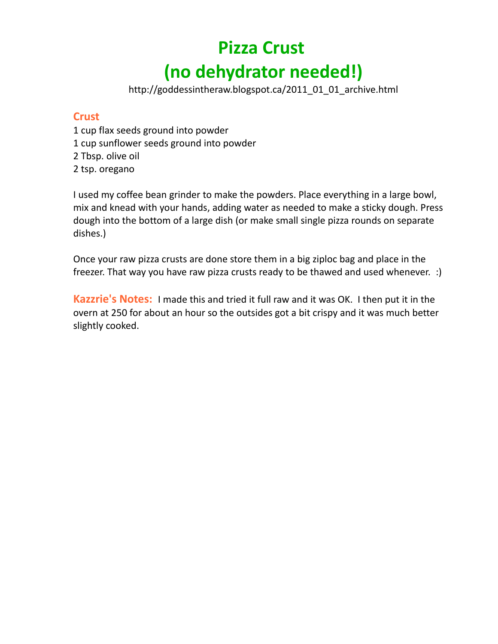# **Pizza Crust (no dehydrator needed!)**

http://goddessintheraw.blogspot.ca/2011\_01\_01\_archive.html

# **Crust**

1 cup flax seeds ground into powder 1 cup sunflower seeds ground into powder 2 Tbsp. olive oil 2 tsp. oregano

I used my coffee bean grinder to make the powders. Place everything in a large bowl, mix and knead with your hands, adding water as needed to make a sticky dough. Press dough into the bottom of a large dish (or make small single pizza rounds on separate dishes.)

Once your raw pizza crusts are done store them in a big ziploc bag and place in the freezer. That way you have raw pizza crusts ready to be thawed and used whenever. :)

**Kazzrie's Notes:** I made this and tried it full raw and it was OK. I then put it in the overn at 250 for about an hour so the outsides got a bit crispy and it was much better slightly cooked.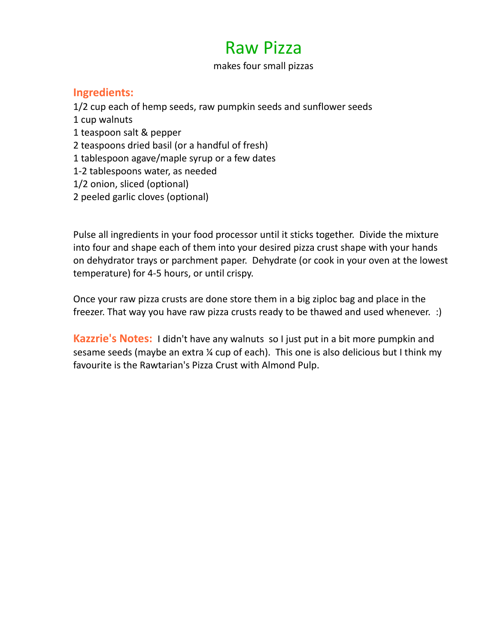# Raw Pizza

#### makes four small pizzas

# **Ingredients:**

1/2 cup each of hemp seeds, raw pumpkin seeds and sunflower seeds

- 1 cup walnuts
- 1 teaspoon salt & pepper
- 2 teaspoons dried basil (or a handful of fresh)
- 1 tablespoon agave/maple syrup or a few dates
- 1-2 tablespoons water, as needed
- 1/2 onion, sliced (optional)
- 2 peeled garlic cloves (optional)

Pulse all ingredients in your food processor until it sticks together. Divide the mixture into four and shape each of them into your desired pizza crust shape with your hands on dehydrator trays or parchment paper. Dehydrate (or cook in your oven at the lowest temperature) for 4-5 hours, or until crispy.

Once your raw pizza crusts are done store them in a big ziploc bag and place in the freezer. That way you have raw pizza crusts ready to be thawed and used whenever. :)

**Kazzrie's Notes:** I didn't have any walnuts so I just put in a bit more pumpkin and sesame seeds (maybe an extra ¼ cup of each). This one is also delicious but I think my favourite is the Rawtarian's Pizza Crust with Almond Pulp.